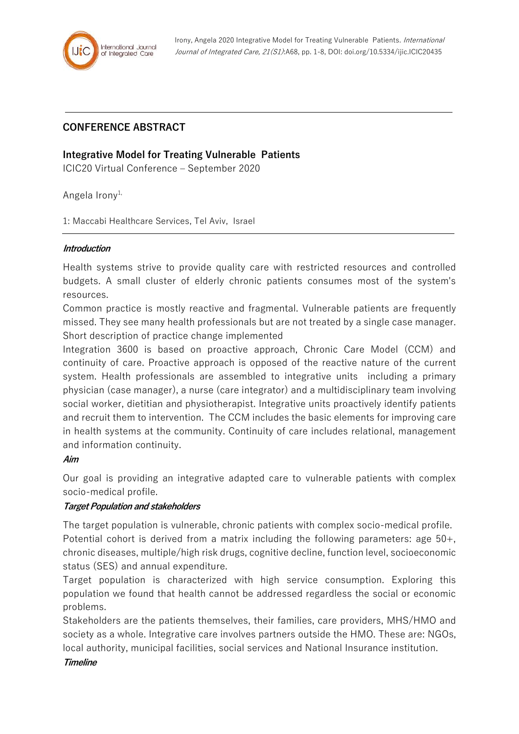

# **CONFERENCE ABSTRACT**

## **Integrative Model for Treating Vulnerable Patients**

ICIC20 Virtual Conference – September 2020

Angela Irony<sup>1,</sup>

1: Maccabi Healthcare Services, Tel Aviv, Israel

#### **Introduction**

Health systems strive to provide quality care with restricted resources and controlled budgets. A small cluster of elderly chronic patients consumes most of the system's resources.

Common practice is mostly reactive and fragmental. Vulnerable patients are frequently missed. They see many health professionals but are not treated by a single case manager. Short description of practice change implemented

Integration 3600 is based on proactive approach, Chronic Care Model (CCM) and continuity of care. Proactive approach is opposed of the reactive nature of the current system. Health professionals are assembled to integrative units including a primary physician (case manager), a nurse (care integrator) and a multidisciplinary team involving social worker, dietitian and physiotherapist. Integrative units proactively identify patients and recruit them to intervention. The CCM includes the basic elements for improving care in health systems at the community. Continuity of care includes relational, management and information continuity.

#### **Aim**

Our goal is providing an integrative adapted care to vulnerable patients with complex socio-medical profile.

## **Target Population and stakeholders**

The target population is vulnerable, chronic patients with complex socio-medical profile. Potential cohort is derived from a matrix including the following parameters: age 50+, chronic diseases, multiple/high risk drugs, cognitive decline, function level, socioeconomic status (SES) and annual expenditure.

Target population is characterized with high service consumption. Exploring this population we found that health cannot be addressed regardless the social or economic problems.

Stakeholders are the patients themselves, their families, care providers, MHS/HMO and society as a whole. Integrative care involves partners outside the HMO. These are: NGOs, local authority, municipal facilities, social services and National Insurance institution.

#### **Timeline**